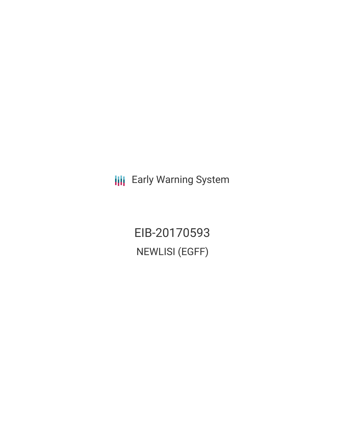**III** Early Warning System

EIB-20170593 NEWLISI (EGFF)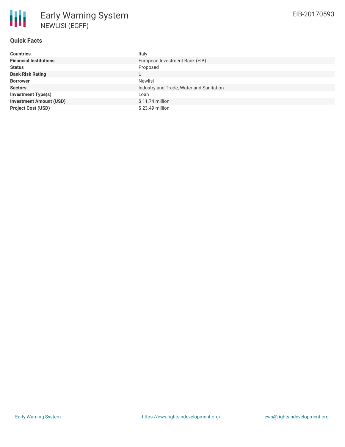## **Quick Facts**

| <b>Countries</b>               | Italy                                    |
|--------------------------------|------------------------------------------|
| <b>Financial Institutions</b>  | European Investment Bank (EIB)           |
| <b>Status</b>                  | Proposed                                 |
| <b>Bank Risk Rating</b>        | U                                        |
| <b>Borrower</b>                | Newlisi                                  |
| <b>Sectors</b>                 | Industry and Trade, Water and Sanitation |
| <b>Investment Type(s)</b>      | Loan                                     |
| <b>Investment Amount (USD)</b> | $$11.74$ million                         |
| <b>Project Cost (USD)</b>      | $$23.49$ million                         |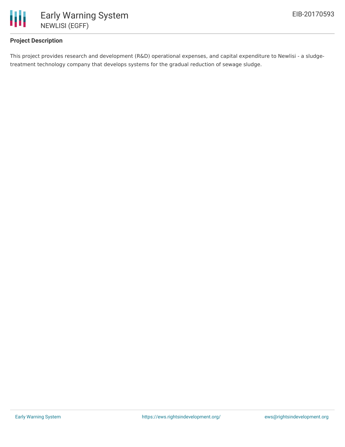

## **Project Description**

This project provides research and development (R&D) operational expenses, and capital expenditure to Newlisi - a sludgetreatment technology company that develops systems for the gradual reduction of sewage sludge.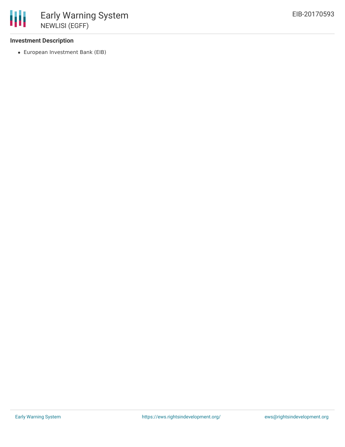## **Investment Description**

European Investment Bank (EIB)